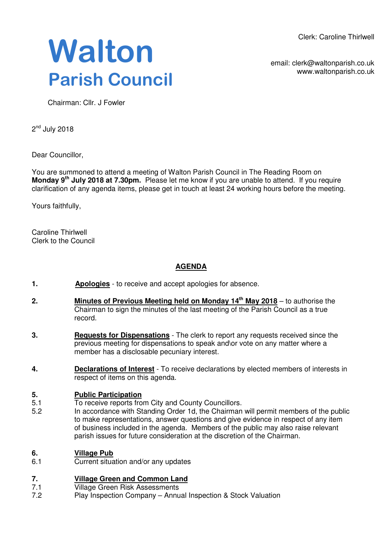Clerk: Caroline Thirlwell

**Walton Parish Council** 

email: clerk@waltonparish.co.uk www.waltonparish.co.uk

Chairman: Cllr. J Fowler

2<sup>nd</sup> July 2018

Dear Councillor,

You are summoned to attend a meeting of Walton Parish Council in The Reading Room on **Monday 9th July 2018 at 7.30pm.** Please let me know if you are unable to attend. If you require clarification of any agenda items, please get in touch at least 24 working hours before the meeting.

Yours faithfully,

Caroline Thirlwell Clerk to the Council

# **AGENDA**

- **1. Apologies** to receive and accept apologies for absence.
- **2. Minutes of Previous Meeting held on Monday 14th May 2018** to authorise the Chairman to sign the minutes of the last meeting of the Parish Council as a true record.
- **3. Requests for Dispensations** The clerk to report any requests received since the previous meeting for dispensations to speak and\or vote on any matter where a member has a disclosable pecuniary interest.
- **4. Declarations of Interest** To receive declarations by elected members of interests in respect of items on this agenda.

### **5. Public Participation**

- 5.1 To receive reports from City and County Councillors.
- 5.2 In accordance with Standing Order 1d, the Chairman will permit members of the public to make representations, answer questions and give evidence in respect of any item of business included in the agenda. Members of the public may also raise relevant parish issues for future consideration at the discretion of the Chairman.

### **6. Village Pub**

6.1 Current situation and/or any updates

### **7. Village Green and Common Land**

- 7.1 Village Green Risk Assessments
- 7.2 Play Inspection Company – Annual Inspection & Stock Valuation